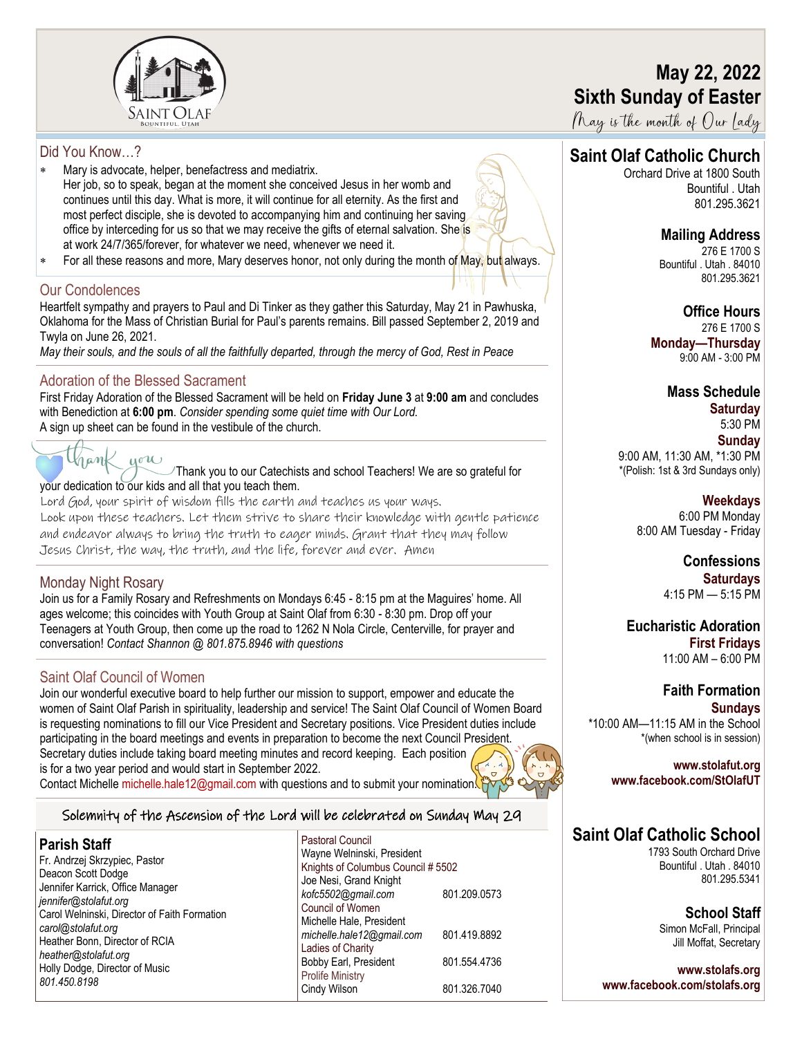

# **May 22, 2022 Sixth Sunday of Easter**

May is the month of Our Lady

### Did You Know…?

Mary is advocate, helper, benefactress and mediatrix.

Her job, so to speak, began at the moment she conceived Jesus in her womb and continues until this day. What is more, it will continue for all eternity. As the first and most perfect disciple, she is devoted to accompanying him and continuing her saving office by interceding for us so that we may receive the gifts of eternal salvation. She is at work 24/7/365/forever, for whatever we need, whenever we need it.

\* For all these reasons and more, Mary deserves honor, not only during the month of May, but always.

## Our Condolences

Heartfelt sympathy and prayers to Paul and Di Tinker as they gather this Saturday, May 21 in Pawhuska, Oklahoma for the Mass of Christian Burial for Paul's parents remains. Bill passed September 2, 2019 and Twyla on June 26, 2021.

*May their souls, and the souls of all the faithfully departed, through the mercy of God, Rest in Peace*

## Adoration of the Blessed Sacrament

First Friday Adoration of the Blessed Sacrament will be held on **Friday June 3** at **9:00 am** and concludes with Benediction at **6:00 pm**. *Consider spending some quiet time with Our Lord.*  A sign up sheet can be found in the vestibule of the church.

#### $u^{\sigma}u$ Ugant

 Thank you to our Catechists and school Teachers! We are so grateful for your dedication to our kids and all that you teach them.

Lord God, your spirit of wisdom fills the earth and teaches us your ways. Look upon these teachers. Let them strive to share their knowledge with gentle patience and endeavor always to bring the truth to eager minds. Grant that they may follow Jesus Christ, the way, the truth, and the life, forever and ever. Amen

## Monday Night Rosary

Join us for a Family Rosary and Refreshments on Mondays 6:45 - 8:15 pm at the Maguires' home. All ages welcome; this coincides with Youth Group at Saint Olaf from 6:30 - 8:30 pm. Drop off your Teenagers at Youth Group, then come up the road to 1262 N Nola Circle, Centerville, for prayer and conversation! *Contact Shannon @ 801.875.8946 with questions*

## Saint Olaf Council of Women

Join our wonderful executive board to help further our mission to support, empower and educate the women of Saint Olaf Parish in spirituality, leadership and service! The Saint Olaf Council of Women Board is requesting nominations to fill our Vice President and Secretary positions. Vice President duties include participating in the board meetings and events in preparation to become the next Council President. Secretary duties include taking board meeting minutes and record keeping. Each position is for a two year period and would start in September 2022. Contact Michelle michelle.hale12@gmail.com with questions and to submit your nomination.<sup>(\*</sup>)



### Solemnity of the Ascension of the Lord will be celebrated on Sunday May 29

**Parish Staff** Fr. Andrzej Skrzypiec, Pastor Deacon Scott Dodge Jennifer Karrick, Office Manager *jennifer@stolafut.org* Carol Welninski, Director of Faith Formation *carol@stolafut.org* Heather Bonn, Director of RCIA *heather@stolafut.org* Holly Dodge, Director of Music *801.450.8198*

Pastoral Council Wayne Welninski, President Knights of Columbus Council # 5502 Joe Nesi, Grand Knight *kofc5502@gmail.com* 801.209.0573 Council of Women Michelle Hale, President *michelle.hale12@gmail.com* 801.419.8892 Ladies of Charity Bobby Earl, President 801.554.4736 Prolife Ministry Cindy Wilson 801.326.7040

## **Saint Olaf Catholic Church**

Orchard Drive at 1800 South Bountiful . Utah 801.295.3621

### **Mailing Address**

276 E 1700 S Bountiful . Utah . 84010 801.295.3621

## **Office Hours** 276 E 1700 S **Monday—Thursday**

9:00 AM - 3:00 PM

#### **Mass Schedule Saturday**

5:30 PM **Sunday** 9:00 AM, 11:30 AM, \*1:30 PM \*(Polish: 1st & 3rd Sundays only)

**Weekdays** 6:00 PM Monday 8:00 AM Tuesday - Friday

> **Confessions Saturdays** 4:15 PM — 5:15 PM

**Eucharistic Adoration First Fridays** 11:00 AM – 6:00 PM

#### **Faith Formation Sundays** \*10:00 AM—11:15 AM in the School \*(when school is in session)

**www.stolafut.org www.facebook.com/StOlafUT**

# **Saint Olaf Catholic School**

1793 South Orchard Drive Bountiful . Utah . 84010 801.295.5341

> **School Staff** Simon McFall, Principal Jill Moffat, Secretary

**www.stolafs.org www.facebook.com/stolafs.org**